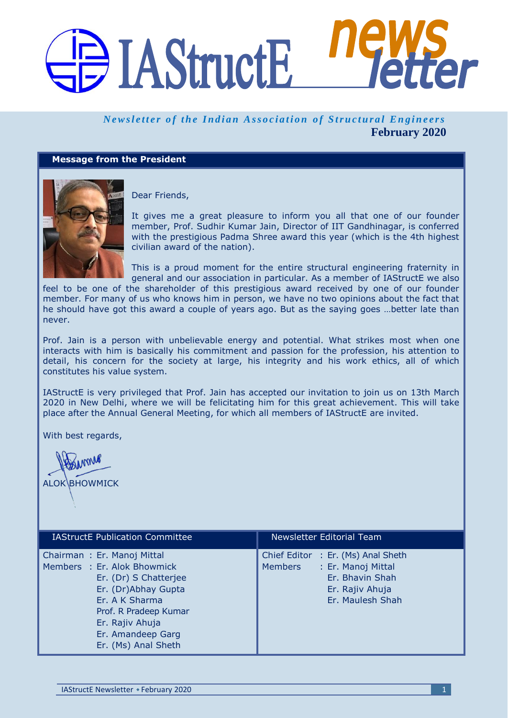# DI AStructE

### *Newsletter of the Indian Association of Structural Engineers* **February 2020**

#### **Message from the President**



Dear Friends,

It gives me a great pleasure to inform you all that one of our founder member, Prof. Sudhir Kumar Jain, Director of IIT Gandhinagar, is conferred with the prestigious Padma Shree award this year (which is the 4th highest civilian award of the nation).

This is a proud moment for the entire structural engineering fraternity in general and our association in particular. As a member of IAStructE we also

feel to be one of the shareholder of this prestigious award received by one of our founder member. For many of us who knows him in person, we have no two opinions about the fact that he should have got this award a couple of years ago. But as the saying goes …better late than never.

Prof. Jain is a person with unbelievable energy and potential. What strikes most when one interacts with him is basically his commitment and passion for the profession, his attention to detail, his concern for the society at large, his integrity and his work ethics, all of which constitutes his value system.

IAStructE is very privileged that Prof. Jain has accepted our invitation to join us on 13th March 2020 in New Delhi, where we will be felicitating him for this great achievement. This will take place after the Annual General Meeting, for which all members of IAStructE are invited.

With best regards,

**BUMMA ALOK BHOWMICK** 

| <b>IAStructE</b> Publication Committee                                                                                                                                                                              | Newsletter Editorial Team                                                                                                     |
|---------------------------------------------------------------------------------------------------------------------------------------------------------------------------------------------------------------------|-------------------------------------------------------------------------------------------------------------------------------|
| Chairman: Er. Manoj Mittal<br>Members : Er. Alok Bhowmick<br>Er. (Dr) S Chatterjee<br>Er. (Dr)Abhay Gupta<br>Er. A K Sharma<br>Prof. R Pradeep Kumar<br>Er. Rajiv Ahuja<br>Er. Amandeep Garg<br>Er. (Ms) Anal Sheth | Chief Editor : Er. (Ms) Anal Sheth<br>: Er. Manoj Mittal<br>Members<br>Er. Bhavin Shah<br>Er. Rajiv Ahuja<br>Er. Maulesh Shah |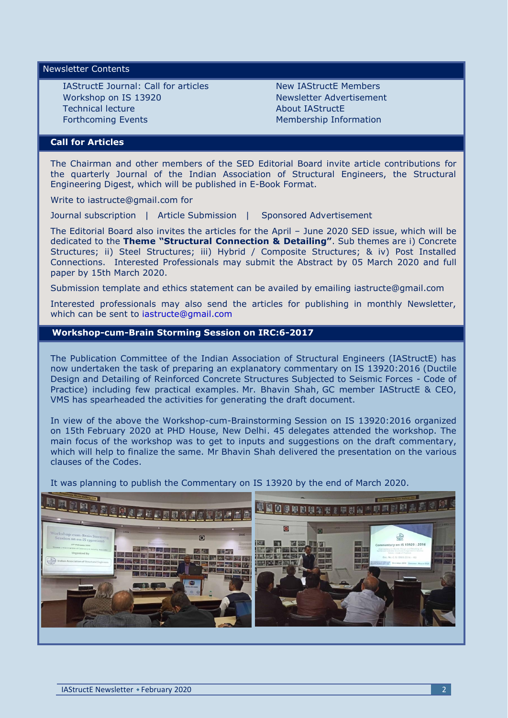#### Newsletter Contents

IAStructE Journal: Call for articles Workshop on IS 13920 Technical lecture Forthcoming Events

New IAStructE Members Newsletter Advertisement About IAStructE Membership Information

#### **Call for Articles**

The Chairman and other members of the SED Editorial Board invite article contributions for the quarterly Journal of the Indian Association of Structural Engineers, the Structural Engineering Digest, which will be published in E-Book Format.

Write to iastructe@gmail.com for

Journal subscription | Article Submission | Sponsored Advertisement

The Editorial Board also invites the articles for the April – June 2020 SED issue, which will be dedicated to the **Theme "Structural Connection & Detailing"**. Sub themes are i) Concrete Structures; ii) Steel Structures; iii) Hybrid / Composite Structures; & iv) Post Installed Connections. Interested Professionals may submit the Abstract by 05 March 2020 and full paper by 15th March 2020.

Submission template and ethics statement can be availed by emailing [iastructe@gmail.com](mailto:iastructe@gmail.com)

Interested professionals may also send the articles for publishing in monthly Newsletter, which can be sent to [iastructe@gmail.com](mailto:iastructe@gmail.com)

#### **Workshop-cum-Brain Storming Session on IRC:6-2017**

The Publication Committee of the Indian Association of Structural Engineers (IAStructE) has now undertaken the task of preparing an explanatory commentary on IS 13920:2016 (Ductile Design and Detailing of Reinforced Concrete Structures Subjected to Seismic Forces - Code of Practice) including few practical examples. Mr. Bhavin Shah, GC member IAStructE & CEO, VMS has spearheaded the activities for generating the draft document.

In view of the above the Workshop-cum-Brainstorming Session on IS 13920:2016 organized on 15th February 2020 at PHD House, New Delhi. 45 delegates attended the workshop. The main focus of the workshop was to get to inputs and suggestions on the draft commentary, which will help to finalize the same. Mr Bhavin Shah delivered the presentation on the various clauses of the Codes.

It was planning to publish the Commentary on IS 13920 by the end of March 2020.

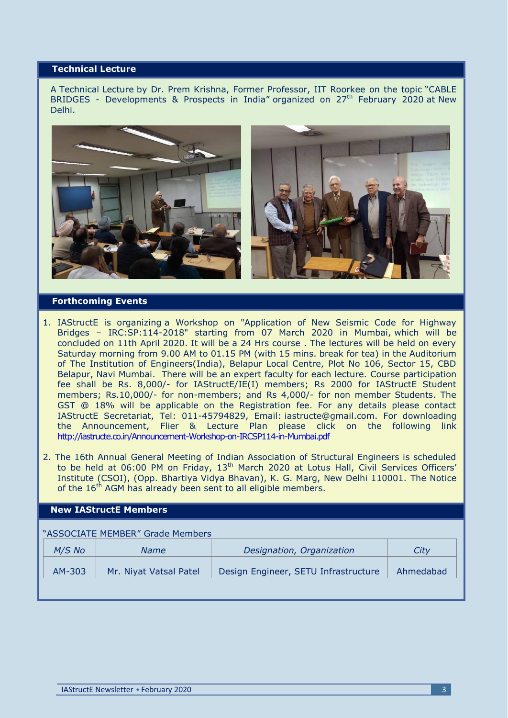#### **Technical Lecture**

A Technical Lecture by Dr. Prem Krishna, Former Professor, IIT Roorkee on the topic "CABLE BRIDGES - Developments & Prospects in India" organized on 27<sup>th</sup> February 2020 at New Delhi.



#### **Forthcoming Events**

- 1. IAStructE is organizing a Workshop on "Application of New Seismic Code for Highway Bridges – IRC:SP:114-2018" starting from 07 March 2020 in Mumbai, which will be concluded on 11th April 2020. It will be a 24 Hrs course . The lectures will be held on every Saturday morning from 9.00 AM to 01.15 PM (with 15 mins. break for tea) in the Auditorium of The Institution of Engineers(India), Belapur Local Centre, Plot No 106, Sector 15, CBD Belapur, Navi Mumbai. There will be an expert faculty for each lecture. Course participation fee shall be Rs. 8,000/- for IAStructE/IE(I) members; Rs 2000 for IAStructE Student members; Rs.10,000/- for non-members; and Rs 4,000/- for non member Students. The GST @ 18% will be applicable on the Registration fee. For any details please contact IAStructE Secretariat, Tel: 011-45794829, Email: [iastructe@gmail.com.](mailto:iastructe@gmail.com) For downloading the Announcement, Flier & Lecture Plan please click on the following link <http://iastructe.co.in/Announcement-Workshop-on-IRCSP114-in-Mumbai.pdf>
- 2. The 16th Annual General Meeting of Indian Association of Structural Engineers is scheduled to be held at 06:00 PM on Friday, 13<sup>th</sup> March 2020 at Lotus Hall, Civil Services Officers' Institute (CSOI), (Opp. Bhartiya Vidya Bhavan), K. G. Marg, New Delhi 110001. The Notice of the  $16<sup>th</sup>$  AGM has already been sent to all eligible members.

#### **New IAStructE Members**

| "ASSOCIATE MEMBER" Grade Members |          |                        |                                      |           |
|----------------------------------|----------|------------------------|--------------------------------------|-----------|
|                                  | $M/S$ No | <b>Name</b>            | Designation, Organization            | City      |
|                                  | AM-303   | Mr. Niyat Vatsal Patel | Design Engineer, SETU Infrastructure | Ahmedabad |
|                                  |          |                        |                                      |           |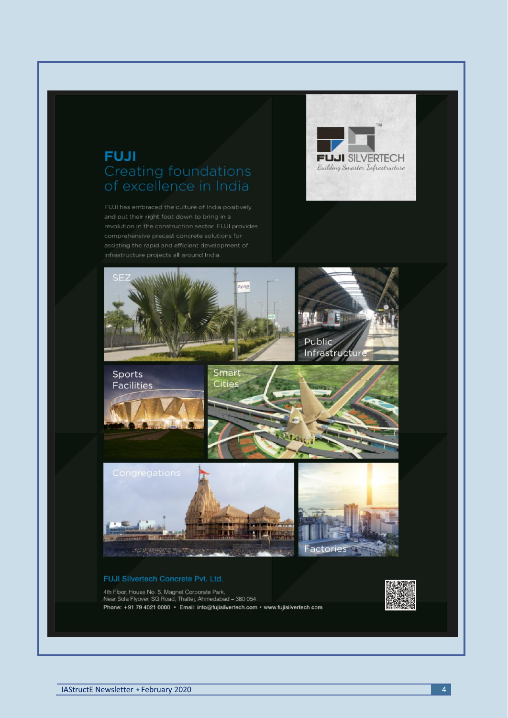## **FUJI Creating foundations**

FUJI has embraced the culture of India positively





4th Floor, House No. 5, Magnet Corporate Park,<br>Near Sola Flyover, SG Road, Thaltej, Ahmedabad - 380 054,<br>Phone: +91 79 4021 0000 · Email: info@fujisilvertech.com · www.fujisilvertech.com